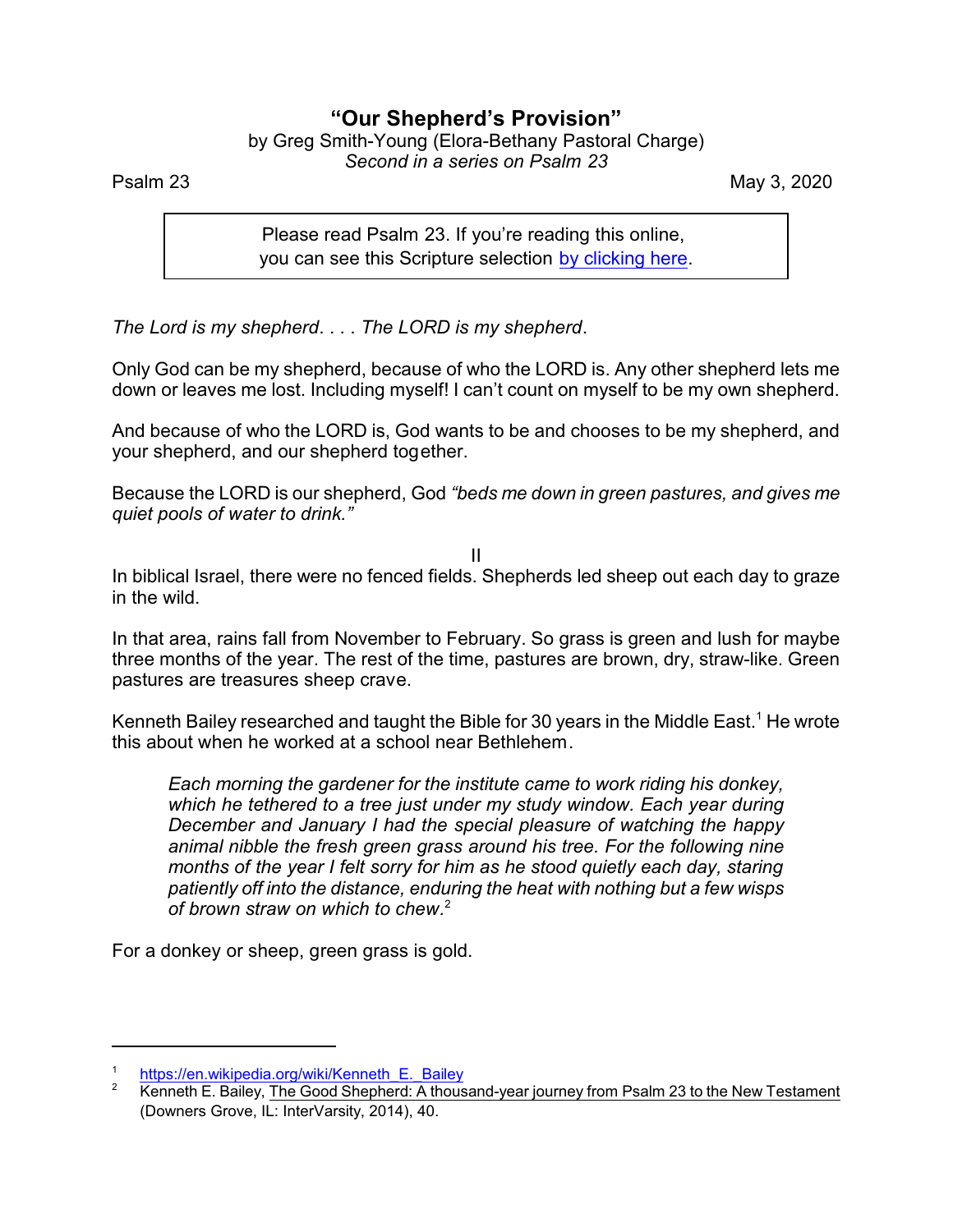## **"Our Shepherd's Provision"**

by Greg Smith-Young (Elora-Bethany Pastoral Charge) *Second in a series on Psalm 23*

Psalm 23 May 3, 2020

Please read Psalm 23. If you're reading this online, you can see this Scripture selection [by clicking here](https://www.biblegateway.com/passage/?search=Psalm+23&version=AKJV).

*The Lord is my shepherd*. . . . *The LORD is my shepherd*.

Only God can be my shepherd, because of who the LORD is. Any other shepherd lets me down or leaves me lost. Including myself! I can't count on myself to be my own shepherd.

And because of who the LORD is, God wants to be and chooses to be my shepherd, and your shepherd, and our shepherd together.

Because the LORD is our shepherd, God *"beds me down in green pastures, and gives me quiet pools of water to drink."*

II

In biblical Israel, there were no fenced fields. Shepherds led sheep out each day to graze in the wild.

In that area, rains fall from November to February. So grass is green and lush for maybe three months of the year. The rest of the time, pastures are brown, dry, straw-like. Green pastures are treasures sheep crave.

Kenneth Bailey researched and taught the Bible for 30 years in the Middle East.<sup>1</sup> He wrote this about when he worked at a school near Bethlehem.

*Each morning the gardener for the institute came to work riding his donkey, which he tethered to a tree just under my study window. Each year during December and January I had the special pleasure of watching the happy animal nibble the fresh green grass around his tree. For the following nine months of the year I felt sorry for him as he stood quietly each day, staring patiently off into the distance, enduring the heat with nothing but a few wisps of brown straw on which to chew.* 2

For a donkey or sheep, green grass is gold.

<sup>1</sup> [https://en.wikipedia.org/wiki/Kenneth\\_E.\\_Bailey](https://en.wikipedia.org/wiki/Kenneth_E._Bailey)

<sup>&</sup>lt;sup>2</sup> Kenneth E. Bailey, The Good Shepherd: A thousand-year journey from Psalm 23 to the New Testament (Downers Grove, IL: InterVarsity, 2014), 40.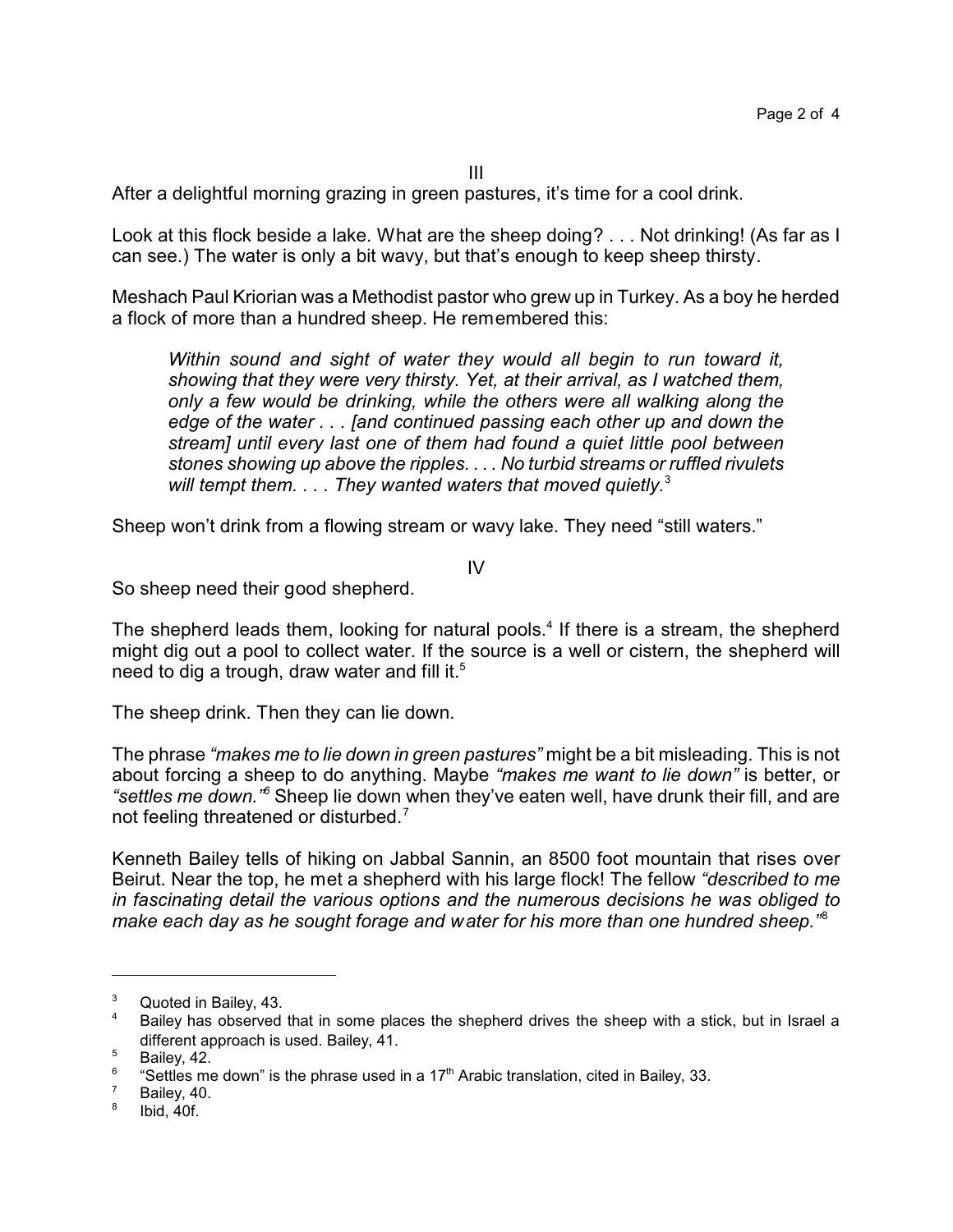III

After a delightful morning grazing in green pastures, it's time for a cool drink.

Look at this flock beside a lake. What are the sheep doing? . . . Not drinking! (As far as I can see.) The water is only a bit wavy, but that's enough to keep sheep thirsty.

Meshach Paul Kriorian was a Methodist pastor who grew up in Turkey. As a boy he herded a flock of more than a hundred sheep. He remembered this:

*Within sound and sight of water they would all begin to run toward it, showing that they were very thirsty. Yet, at their arrival, as I watched them, only a few would be drinking, while the others were all walking along the edge of the water . . . [and continued passing each other up and down the stream] until every last one of them had found a quiet little pool between stones showing up above the ripples. . . . No turbid streams or ruffled rivulets will tempt them. . . . They wanted waters that moved quietly.*<sup>3</sup>

Sheep won't drink from a flowing stream or wavy lake. They need "still waters."

IV

So sheep need their good shepherd.

The shepherd leads them, looking for natural pools.<sup>4</sup> If there is a stream, the shepherd might dig out a pool to collect water. If the source is a well or cistern, the shepherd will need to dig a trough, draw water and fill it. $5$ 

The sheep drink. Then they can lie down.

The phrase *"makes me to lie down in green pastures"* might be a bit misleading. This is not about forcing a sheep to do anything. Maybe *"makes me want to lie down"* is better, or *"settles me down."<sup>6</sup>* Sheep lie down when they've eaten well, have drunk their fill, and are not feeling threatened or disturbed.<sup>7</sup>

Kenneth Bailey tells of hiking on Jabbal Sannin, an 8500 foot mountain that rises over Beirut. Near the top, he met a shepherd with his large flock! The fellow *"described to me in fascinating detail the various options and the numerous decisions he was obliged to make each day as he sought forage and water for his more than one hundred sheep."*<sup>8</sup>

 $3$  Quoted in Bailey, 43.

Bailey has observed that in some places the shepherd drives the sheep with a stick, but in Israel a different approach is used. Bailey, 41.

 $5$  Bailey, 42.

<sup>6</sup> "Settles me down" is the phrase used in a  $17<sup>th</sup>$  Arabic translation, cited in Bailey, 33.

 $7$  Bailey, 40.

<sup>8</sup> Ibid, 40f.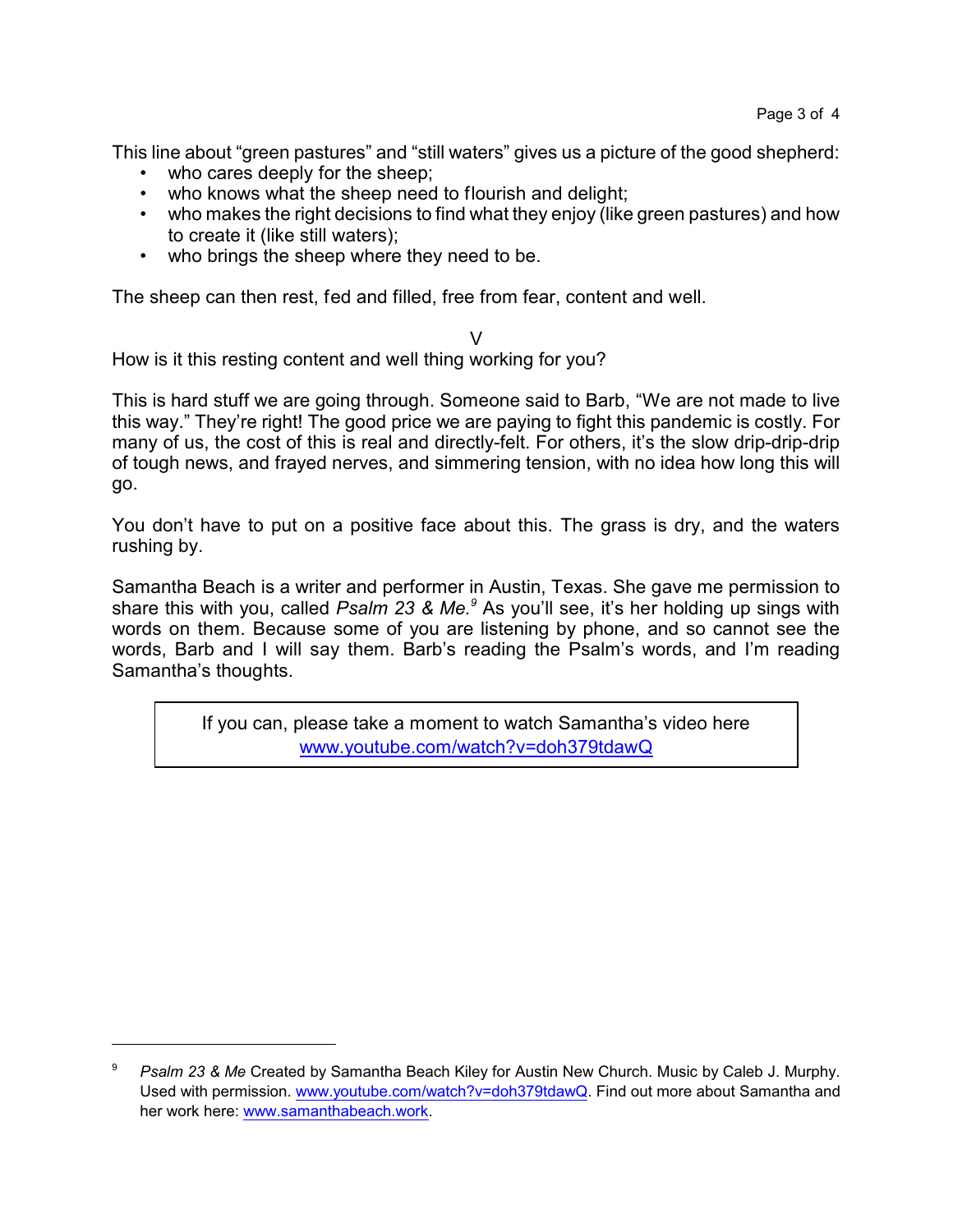This line about "green pastures" and "still waters" gives us a picture of the good shepherd:

- who cares deeply for the sheep;
- who knows what the sheep need to flourish and delight;
- who makes the right decisions to find what they enjoy (like green pastures) and how to create it (like still waters);
- who brings the sheep where they need to be.

The sheep can then rest, fed and filled, free from fear, content and well.

 $\vee$ How is it this resting content and well thing working for you?

This is hard stuff we are going through. Someone said to Barb, "We are not made to live this way." They're right! The good price we are paying to fight this pandemic is costly. For many of us, the cost of this is real and directly-felt. For others, it's the slow drip-drip-drip of tough news, and frayed nerves, and simmering tension, with no idea how long this will go.

You don't have to put on a positive face about this. The grass is dry, and the waters rushing by.

Samantha Beach is a writer and performer in Austin, Texas. She gave me permission to share this with you, called *Psalm 23 & Me.<sup>9</sup>* As you'll see, it's her holding up sings with words on them. Because some of you are listening by phone, and so cannot see the words, Barb and I will say them. Barb's reading the Psalm's words, and I'm reading Samantha's thoughts.

> If you can, please take a moment to watch Samantha's video here [www.youtube.com/watch?v=doh379tdawQ](http://www.youtube.com/watch?v=doh379tdawQ)

<sup>9</sup> *Psalm 23 & Me* Created by Samantha Beach Kiley for Austin New Church. Music by Caleb J. Murphy. Used with permission. [www.youtube.com/watch?v=doh379tdawQ](https://www.youtube.com/watch?v=doh379tdawQ). Find out more about Samantha and her work here: [www.samanthabeach.work]((https://www.samanthabeach.work).